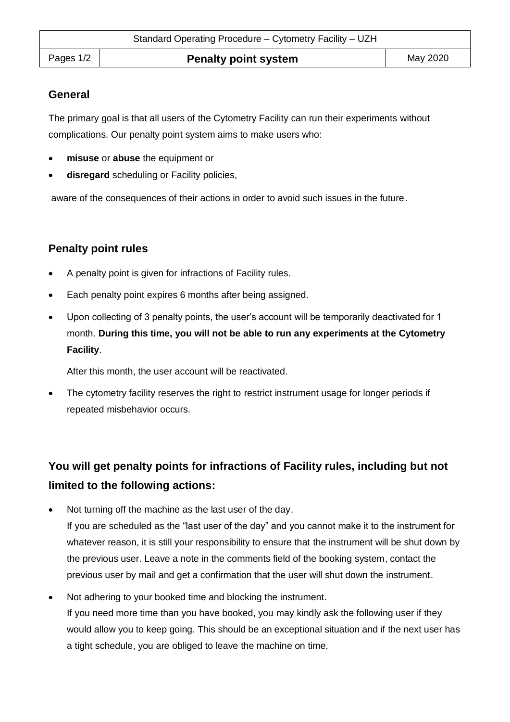## **General**

The primary goal is that all users of the Cytometry Facility can run their experiments without complications. Our penalty point system aims to make users who:

- **misuse** or **abuse** the equipment or
- **disregard** scheduling or Facility policies,

aware of the consequences of their actions in order to avoid such issues in the future.

## **Penalty point rules**

- A penalty point is given for infractions of Facility rules.
- Each penalty point expires 6 months after being assigned.
- Upon collecting of 3 penalty points, the user's account will be temporarily deactivated for 1 month. **During this time, you will not be able to run any experiments at the Cytometry Facility**.

After this month, the user account will be reactivated.

• The cytometry facility reserves the right to restrict instrument usage for longer periods if repeated misbehavior occurs.

## **You will get penalty points for infractions of Facility rules, including but not limited to the following actions:**

- Not turning off the machine as the last user of the day. If you are scheduled as the "last user of the day" and you cannot make it to the instrument for whatever reason, it is still your responsibility to ensure that the instrument will be shut down by the previous user. Leave a note in the comments field of the booking system, contact the previous user by mail and get a confirmation that the user will shut down the instrument.
- Not adhering to your booked time and blocking the instrument. If you need more time than you have booked, you may kindly ask the following user if they would allow you to keep going. This should be an exceptional situation and if the next user has a tight schedule, you are obliged to leave the machine on time.